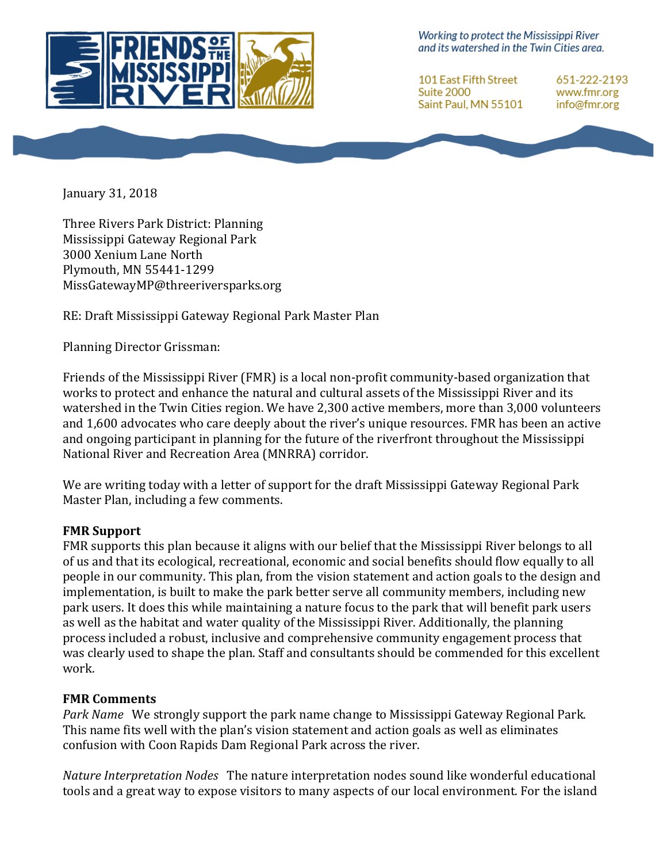

Working to protect the Mississippi River and its watershed in the Twin Cities area.

**101 East Fifth Street Suite 2000** Saint Paul, MN 55101 651-222-2193 www.fmr.org info@fmr.org

January 31, 2018

Three Rivers Park District: Planning Mississippi Gateway Regional Park 3000 Xenium Lane North Plymouth, MN 55441-1299 MissGatewayMP@threeriversparks.org

RE: Draft Mississippi Gateway Regional Park Master Plan

Planning Director Grissman:

Friends of the Mississippi River (FMR) is a local non-profit community-based organization that works to protect and enhance the natural and cultural assets of the Mississippi River and its watershed in the Twin Cities region. We have 2,300 active members, more than 3,000 volunteers and 1,600 advocates who care deeply about the river's unique resources. FMR has been an active and ongoing participant in planning for the future of the riverfront throughout the Mississippi National River and Recreation Area (MNRRA) corridor.

We are writing today with a letter of support for the draft Mississippi Gateway Regional Park Master Plan, including a few comments.

## **FMR Support**

FMR supports this plan because it aligns with our belief that the Mississippi River belongs to all of us and that its ecological, recreational, economic and social benefits should flow equally to all people in our community. This plan, from the vision statement and action goals to the design and implementation, is built to make the park better serve all community members, including new park users. It does this while maintaining a nature focus to the park that will benefit park users as well as the habitat and water quality of the Mississippi River. Additionally, the planning process included a robust, inclusive and comprehensive community engagement process that was clearly used to shape the plan. Staff and consultants should be commended for this excellent work. 

## **FMR Comments**

*Park Name* We strongly support the park name change to Mississippi Gateway Regional Park. This name fits well with the plan's vision statement and action goals as well as eliminates confusion with Coon Rapids Dam Regional Park across the river.

*Nature Interpretation Nodes* The nature interpretation nodes sound like wonderful educational tools and a great way to expose visitors to many aspects of our local environment. For the island